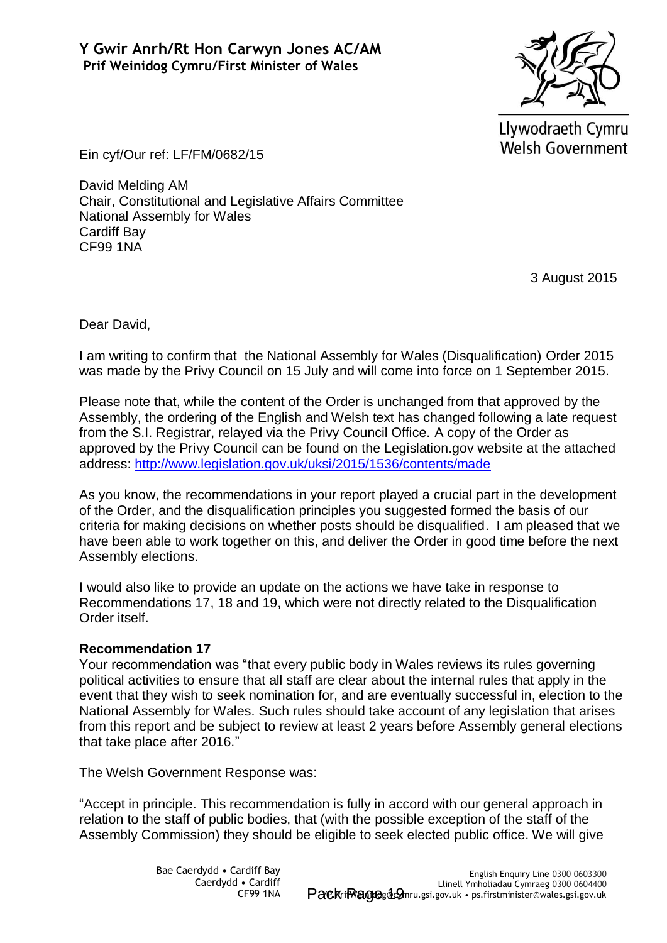

Llywodraeth Cymru **Welsh Government** 

Ein cyf/Our ref: LF/FM/0682/15

David Melding AM Chair, Constitutional and Legislative Affairs Committee National Assembly for Wales Cardiff Bay CF99 1NA

3 August 2015

Dear David,

I am writing to confirm that the National Assembly for Wales (Disqualification) Order 2015 was made by the Privy Council on 15 July and will come into force on 1 September 2015.

Please note that, while the content of the Order is unchanged from that approved by the Assembly, the ordering of the English and Welsh text has changed following a late request from the S.I. Registrar, relayed via the Privy Council Office. A copy of the Order as approved by the Privy Council can be found on the Legislation.gov website at the attached address:<http://www.legislation.gov.uk/uksi/2015/1536/contents/made>

As you know, the recommendations in your report played a crucial part in the development of the Order, and the disqualification principles you suggested formed the basis of our criteria for making decisions on whether posts should be disqualified. I am pleased that we have been able to work together on this, and deliver the Order in good time before the next Assembly elections.

I would also like to provide an update on the actions we have take in response to Recommendations 17, 18 and 19, which were not directly related to the Disqualification Order itself.

## **Recommendation 17**

Your recommendation was "that every public body in Wales reviews its rules governing political activities to ensure that all staff are clear about the internal rules that apply in the event that they wish to seek nomination for, and are eventually successful in, election to the National Assembly for Wales. Such rules should take account of any legislation that arises from this report and be subject to review at least 2 years before Assembly general elections that take place after 2016."

The Welsh Government Response was:

"Accept in principle. This recommendation is fully in accord with our general approach in relation to the staff of public bodies, that (with the possible exception of the staff of the Assembly Commission) they should be eligible to seek elected public office. We will give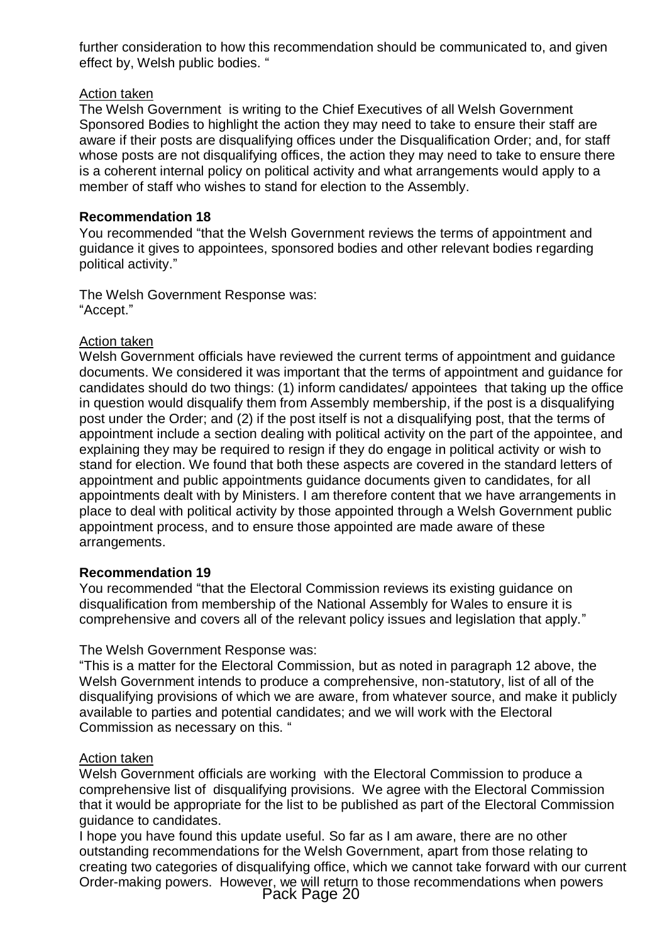further consideration to how this recommendation should be communicated to, and given effect by, Welsh public bodies. '

# Action taken

The Welsh Government is writing to the Chief Executives of all Welsh Government Sponsored Bodies to highlight the action they may need to take to ensure their staff are aware if their posts are disqualifying offices under the Disqualification Order; and, for staff whose posts are not disqualifying offices, the action they may need to take to ensure there is a coherent internal policy on political activity and what arrangements would apply to a member of staff who wishes to stand for election to the Assembly.

# **Recommendation 18**

You recommended "that the Welsh Government reviews the terms of appointment and guidance it gives to appointees, sponsored bodies and other relevant bodies regarding political activity."

The Welsh Government Response was: "Accept."

## Action taken

Welsh Government officials have reviewed the current terms of appointment and guidance documents. We considered it was important that the terms of appointment and guidance for candidates should do two things: (1) inform candidates/ appointees that taking up the office in question would disqualify them from Assembly membership, if the post is a disqualifying post under the Order; and (2) if the post itself is not a disqualifying post, that the terms of appointment include a section dealing with political activity on the part of the appointee, and explaining they may be required to resign if they do engage in political activity or wish to stand for election. We found that both these aspects are covered in the standard letters of appointment and public appointments guidance documents given to candidates, for all appointments dealt with by Ministers. I am therefore content that we have arrangements in place to deal with political activity by those appointed through a Welsh Government public appointment process, and to ensure those appointed are made aware of these arrangements.

## **Recommendation 19**

You recommended "that the Electoral Commission reviews its existing guidance on disqualification from membership of the National Assembly for Wales to ensure it is comprehensive and covers all of the relevant policy issues and legislation that apply."

## The Welsh Government Response was:

"This is a matter for the Electoral Commission, but as noted in paragraph 12 above, the Welsh Government intends to produce a comprehensive, non-statutory, list of all of the disqualifying provisions of which we are aware, from whatever source, and make it publicly available to parties and potential candidates; and we will work with the Electoral Commission as necessary on this. "

## Action taken

Welsh Government officials are working with the Electoral Commission to produce a comprehensive list of disqualifying provisions. We agree with the Electoral Commission that it would be appropriate for the list to be published as part of the Electoral Commission guidance to candidates.

I hope you have found this update useful. So far as I am aware, there are no other outstanding recommendations for the Welsh Government, apart from those relating to creating two categories of disqualifying office, which we cannot take forward with our current Order-making powers. However, we will return to those recommendations when powers Pack Page 20